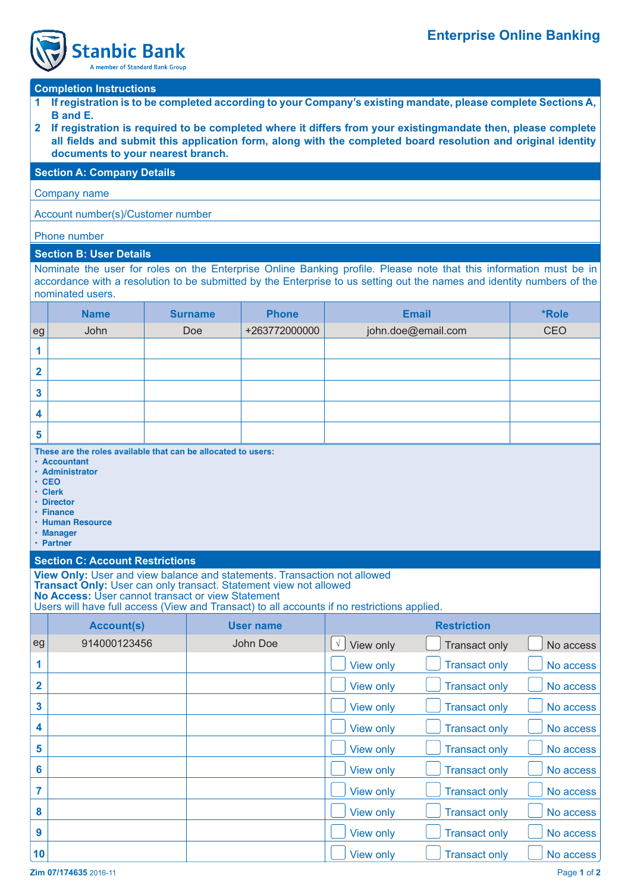

# **Completion Instructions**

- **1 If registration is to be completed according to your Company's existing mandate, please complete Sections A, B and E.**
- **2 If registration is required to be completed where it differs from your existingmandate then, please complete**  all fields and submit this application form, along with the completed board resolution and original identity  **documents to your nearest branch.**

#### **Section A: Company Details**

Company name

Account number(s)/Customer number

### Phone number

### **Section B: User Details**

Nominate the user for roles on the Enterprise Online Banking profile. Please note that this information must be in accordance with a resolution to be submitted by the Enterprise to us setting out the names and identity numbers of the nominated users.

|                | <b>Name</b> | <b>Surname</b> | <b>Phone</b>  | <b>Email</b>       | *Role |
|----------------|-------------|----------------|---------------|--------------------|-------|
| eg             | John        | Doe            | +263772000000 | john.doe@email.com | CEO   |
| 1              |             |                |               |                    |       |
| $\mathbf{2}$   |             |                |               |                    |       |
| $\mathbf{3}$   |             |                |               |                    |       |
| 4              |             |                |               |                    |       |
| $5\phantom{1}$ |             |                |               |                    |       |

**These are the roles available that can be allocated to users:**

- **Accountant**
- **Administrator**
- **CEO • Clerk**
- **Director**
- **Finance**
- **Human Resource**
- **Manager**
- **Partner**

## **Section C: Account Restrictions**

**View Only:** User and view balance and statements. Transaction not allowed

**Transact Only:** User can only transact. Statement view not allowed

**No Access:** User cannot transact or view Statement

Users will have full access (View and Transact) to all accounts if no restrictions applied.

|                  | <b>Account(s)</b> | <b>User name</b> | <b>Restriction</b>      |                      |           |
|------------------|-------------------|------------------|-------------------------|----------------------|-----------|
| eg               | 914000123456      | John Doe         | View only<br>$\sqrt{ }$ | Transact only        | No access |
|                  |                   |                  | View only               | <b>Transact only</b> | No access |
| $\overline{2}$   |                   |                  | <b>View only</b>        | <b>Transact only</b> | No access |
| 3                |                   |                  | <b>View only</b>        | <b>Transact only</b> | No access |
| 4                |                   |                  | <b>View only</b>        | <b>Transact only</b> | No access |
| 5                |                   |                  | View only               | <b>Transact only</b> | No access |
| $6\phantom{1}$   |                   |                  | View only               | <b>Transact only</b> | No access |
|                  |                   |                  | <b>View only</b>        | <b>Transact only</b> | No access |
| 8                |                   |                  | <b>View only</b>        | <b>Transact only</b> | No access |
| $\boldsymbol{9}$ |                   |                  | View only               | <b>Transact only</b> | No access |
| 10               |                   |                  | View only               | <b>Transact only</b> | No access |